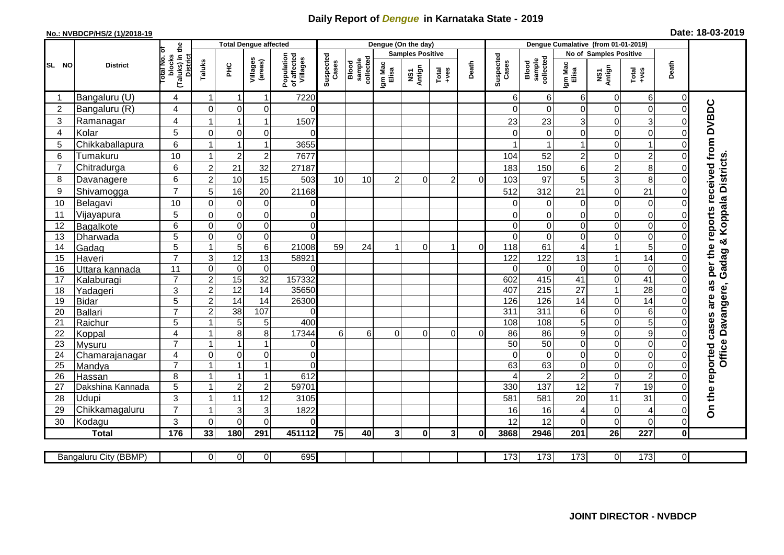## **Daily Report of** *Dengue* **in Karnataka State - 2019**

## **No.: NVBDCP/HS/2 (1)/2018-19**

| Date: 18-03-2019 |  |  |
|------------------|--|--|
|------------------|--|--|

|                |                       | <b>Total Dengue affected</b>                      |                         |                 |                         | Dengue (On the day)                   |                    |                              |                  | Dengue Cumalative (from 01-01-2019) |                  |          |                    |                              |                  |                        |                  |                |                                     |
|----------------|-----------------------|---------------------------------------------------|-------------------------|-----------------|-------------------------|---------------------------------------|--------------------|------------------------------|------------------|-------------------------------------|------------------|----------|--------------------|------------------------------|------------------|------------------------|------------------|----------------|-------------------------------------|
|                |                       | ō                                                 |                         |                 |                         |                                       |                    |                              |                  | <b>Samples Positive</b>             |                  |          |                    |                              |                  | No of Samples Positive |                  |                |                                     |
| SL NO          | <b>District</b>       | (Taluks) in the<br>District<br>blocks<br>otal No. | Taluks                  | нc              | Villages<br>(areas)     | Population<br>of affected<br>Villages | Suspected<br>Cases | Blood<br>sample<br>collected | Igm Mac<br>Elisa | Antign<br>$\overline{\text{S}}$     | $Tota$<br>$+ves$ | Death    | Suspected<br>Cases | collected<br>sample<br>Blood | Igm Mac<br>Elisa | NS1<br>Antign          | $Tota$<br>$+ves$ | Death          |                                     |
|                | Bangaluru (U)         | 4                                                 | 1                       | $\mathbf 1$     | $\mathbf{1}$            | 7220                                  |                    |                              |                  |                                     |                  |          | 6                  | $6 \mid$                     | 6                | 0                      | 6                | $\Omega$       |                                     |
| $\overline{2}$ | Bangaluru (R)         | 4                                                 | $\pmb{0}$               | $\mathbf 0$     | $\pmb{0}$               | $\Omega$                              |                    |                              |                  |                                     |                  |          | 0                  | $\overline{0}$               | 0                | $\mathbf 0$            | $\mathbf 0$      | $\Omega$       | per the reports received from DVBDC |
| 3              | Ramanagar             | 4                                                 | 1                       | $\overline{1}$  | 1                       | 1507                                  |                    |                              |                  |                                     |                  |          | 23                 | 23                           | 3                | $\mathbf 0$            | 3                | $\Omega$       |                                     |
| $\overline{4}$ | Kolar                 | 5                                                 | $\mathbf 0$             | $\mathbf 0$     | $\mathbf 0$             | 0                                     |                    |                              |                  |                                     |                  |          | $\Omega$           | $\overline{0}$               | $\mathbf 0$      | $\mathbf 0$            | $\mathbf 0$      | $\Omega$       |                                     |
| 5              | Chikkaballapura       | 6                                                 | -1                      | 1               | $\mathbf 1$             | 3655                                  |                    |                              |                  |                                     |                  |          |                    |                              |                  | $\mathbf 0$            | $\overline{1}$   | $\Omega$       |                                     |
| 6              | Tumakuru              | 10                                                | 1                       | $\overline{2}$  | $\overline{c}$          | 7677                                  |                    |                              |                  |                                     |                  |          | 104                | 52                           | $\overline{c}$   | 0                      | $\overline{c}$   | $\Omega$       |                                     |
| $\overline{7}$ | Chitradurga           | $\,6$                                             | $\overline{c}$          | 21              | 32                      | 27187                                 |                    |                              |                  |                                     |                  |          | 183                | 150                          | 6                | $\overline{2}$         | 8                | $\mathbf 0$    |                                     |
| 8              | Davanagere            | 6                                                 | $\overline{c}$          | 10              | 15                      | 503                                   | 10                 | 10                           | 2                | $\Omega$                            | $\overline{2}$   | $\Omega$ | 103                | 97                           | 5                | 3                      | 8                | $\mathbf 0$    |                                     |
| 9              | Shivamogga            | $\overline{7}$                                    | 5                       | 16              | 20                      | 21168                                 |                    |                              |                  |                                     |                  |          | 512                | 312                          | 21               | $\mathbf 0$            | 21               | $\Omega$       | Koppala Districts.                  |
| 10             | Belagavi              | 10                                                | $\mathbf 0$             | $\mathbf 0$     | $\pmb{0}$               | $\overline{0}$                        |                    |                              |                  |                                     |                  |          | $\Omega$           | $\overline{0}$               | $\mathbf 0$      | $\mathbf 0$            | $\boldsymbol{0}$ | $\Omega$       |                                     |
| 11             | Vijayapura            | 5                                                 | $\mathbf 0$             | $\mathbf 0$     | $\pmb{0}$               | $\overline{0}$                        |                    |                              |                  |                                     |                  |          | 0                  | $\Omega$                     | $\mathbf 0$      | $\mathbf 0$            | $\mathbf 0$      | $\Omega$       |                                     |
| 12             | Bagalkote             | $6\phantom{1}$                                    | $\mathbf 0$             | $\mathbf 0$     | $\overline{\mathsf{o}}$ | $\overline{0}$                        |                    |                              |                  |                                     |                  |          | $\Omega$           | $\overline{0}$               | $\overline{0}$   | $\mathbf 0$            | $\overline{0}$   | $\Omega$       |                                     |
| 13             | Dharwada              | 5                                                 | $\overline{0}$          | $\overline{0}$  | $\overline{\mathsf{o}}$ | $\overline{0}$                        |                    |                              |                  |                                     |                  |          | $\Omega$           | $\overline{0}$               | $\mathbf 0$      | $\overline{0}$         | $\overline{0}$   | $\Omega$       | ×                                   |
| 14             | Gadag                 | $\overline{5}$                                    | $\mathbf{1}$            | $\overline{5}$  | 6                       | 21008                                 | 59                 | 24                           | 1                | $\Omega$                            | $\mathbf{1}$     | $\Omega$ | 118                | 61                           | 4                | $\mathbf{1}$           | $\overline{5}$   | $\Omega$       |                                     |
| 15             | Haveri                | $\overline{7}$                                    | 3                       | $\overline{12}$ | $\overline{13}$         | 58921                                 |                    |                              |                  |                                     |                  |          | 122                | 122                          | 13               | $\mathbf{1}$           | $\overline{14}$  | $\Omega$       |                                     |
| 16             | Uttara kannada        | 11                                                | $\overline{\mathsf{o}}$ | $\mathbf 0$     | $\mathbf 0$             | $\Omega$                              |                    |                              |                  |                                     |                  |          | $\Omega$           | $\mathbf 0$                  | $\mathbf 0$      | $\overline{0}$         | $\overline{0}$   | $\Omega$       | Gadag                               |
| 17             | Kalaburagi            | $\overline{7}$                                    | $\overline{c}$          | 15              | 32                      | 157332                                |                    |                              |                  |                                     |                  |          | 602                | 415                          | 41               | $\mathbf 0$            | $\overline{41}$  | $\Omega$       |                                     |
| 18             | Yadageri              | 3                                                 | $\overline{c}$          | $\overline{12}$ | 14                      | 35650                                 |                    |                              |                  |                                     |                  |          | 407                | 215                          | 27               | $\mathbf{1}$           | 28               | $\Omega$       | as<br>Office Davangere,             |
| 19             | <b>Bidar</b>          | $\overline{5}$                                    | $\overline{2}$          | $\overline{14}$ | $\overline{14}$         | 26300                                 |                    |                              |                  |                                     |                  |          | 126                | 126                          | $\overline{14}$  | $\overline{0}$         | $\overline{14}$  | $\Omega$       | are                                 |
| 20             | <b>Ballari</b>        | $\overline{7}$                                    | $\overline{a}$          | 38              | 107                     | $\Omega$                              |                    |                              |                  |                                     |                  |          | 311                | 311                          | 6                | 0                      | 6                | $\Omega$       |                                     |
| 21             | Raichur               | 5                                                 | $\mathbf{1}$            | $\overline{5}$  | 5                       | 400                                   |                    |                              |                  |                                     |                  |          | 108                | 108                          | 5                | $\mathbf 0$            | $\overline{5}$   | $\Omega$       |                                     |
| 22             | Koppal                | $\overline{\mathbf{4}}$                           | $\mathbf{1}$            | 8               | $\bf 8$                 | 17344                                 | 6                  | 6                            | $\mathbf 0$      | 0                                   | $\overline{0}$   | $\Omega$ | 86                 | 86                           | 9                | $\mathbf 0$            | $\overline{9}$   | $\Omega$       |                                     |
| 23             | Mysuru                | $\overline{7}$                                    | $\mathbf{1}$            | $\mathbf{1}$    | $\mathbf{1}$            | $\overline{0}$                        |                    |                              |                  |                                     |                  |          | $\overline{50}$    | 50                           | $\mathbf 0$      | $\mathbf 0$            | $\overline{0}$   | $\mathbf 0$    |                                     |
| 24             | Chamarajanagar        | 4                                                 | $\overline{0}$          | $\mathbf 0$     | $\mathbf 0$             | $\overline{0}$                        |                    |                              |                  |                                     |                  |          | $\Omega$           | $\overline{0}$               | $\Omega$         | $\mathbf 0$            | $\overline{0}$   | $\Omega$       |                                     |
| 25             | Mandya                | $\overline{7}$                                    | $\mathbf{1}$            | $\mathbf{1}$    | $\mathbf{1}$            | $\Omega$                              |                    |                              |                  |                                     |                  |          | 63                 | 63                           | $\mathbf 0$      | 0                      | $\overline{0}$   | $\mathbf 0$    |                                     |
| 26             | Hassan                | 8                                                 | $\mathbf{1}$            | $\overline{1}$  | $\mathbf{1}$            | 612                                   |                    |                              |                  |                                     |                  |          |                    | $\overline{2}$               | $\overline{2}$   | $\mathbf 0$            | $\overline{2}$   | $\Omega$       |                                     |
| 27             | Dakshina Kannada      | 5                                                 | $\mathbf{1}$            | $\overline{c}$  | $\boldsymbol{2}$        | 59701                                 |                    |                              |                  |                                     |                  |          | 330                | 137                          | 12               | $\overline{7}$         | $\overline{19}$  | $\Omega$       |                                     |
| 28             | Udupi                 | 3                                                 | $\mathbf{1}$            | 11              | 12                      | 3105                                  |                    |                              |                  |                                     |                  |          | 581                | 581                          | 20               | 11                     | 31               | $\Omega$       | On the reported cases               |
| 29             | Chikkamagaluru        | $\overline{7}$                                    | $\mathbf 1$             | 3               | 3                       | 1822                                  |                    |                              |                  |                                     |                  |          | 16                 | 16                           | 4                | $\mathbf 0$            | 4                | $\Omega$       |                                     |
| 30             | Kodagu                | 3                                                 | $\Omega$                | $\Omega$        | $\overline{0}$          | $\Omega$                              |                    |                              |                  |                                     |                  |          | 12                 | 12                           | $\Omega$         | $\mathbf 0$            | $\mathbf 0$      | $\mathbf 0$    |                                     |
|                | <b>Total</b>          | 176                                               | 33                      | 180             | 291                     | 451112                                | 75                 | 40                           | $\mathbf{3}$     | $\mathbf{0}$                        | 3 <sup>1</sup>   | 0l       | 3868               | 2946                         | 201              | 26                     | 227              | 0              |                                     |
|                |                       |                                                   |                         |                 |                         |                                       |                    |                              |                  |                                     |                  |          |                    |                              |                  |                        |                  |                |                                     |
|                | Bangaluru City (BBMP) |                                                   | $\overline{0}$          | $\overline{0}$  | $\overline{0}$          | 695                                   |                    |                              |                  |                                     |                  |          | 173                | $\overline{173}$             | 173              | 0                      | 173              | $\overline{O}$ |                                     |